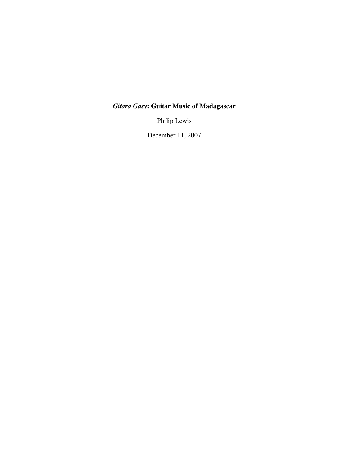## *Gitara Gasy***: Guitar Music of Madagascar**

Philip Lewis

December 11, 2007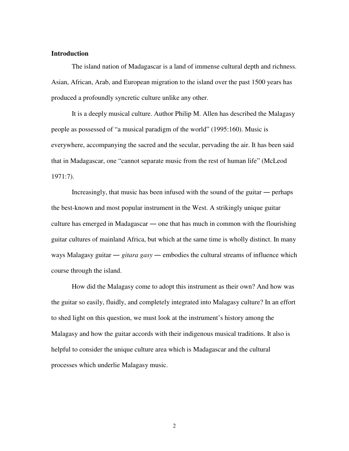## **Introduction**

The island nation of Madagascar is a land of immense cultural depth and richness. Asian, African, Arab, and European migration to the island over the past 1500 years has produced a profoundly syncretic culture unlike any other.

It is a deeply musical culture. Author Philip M. Allen has described the Malagasy people as possessed of "a musical paradigm of the world" (1995:160). Music is everywhere, accompanying the sacred and the secular, pervading the air. It has been said that in Madagascar, one "cannot separate music from the rest of human life" (McLeod 1971:7).

Increasingly, that music has been infused with the sound of the guitar — perhaps the best-known and most popular instrument in the West. A strikingly unique guitar culture has emerged in Madagascar — one that has much in common with the flourishing guitar cultures of mainland Africa, but which at the same time is wholly distinct. In many ways Malagasy guitar  $\frac{e}{i}$  *gitara gasy*  $\frac{e}{i}$  embodies the cultural streams of influence which course through the island.

How did the Malagasy come to adopt this instrument as their own? And how was the guitar so easily, fluidly, and completely integrated into Malagasy culture? In an effort to shed light on this question, we must look at the instrument's history among the Malagasy and how the guitar accords with their indigenous musical traditions. It also is helpful to consider the unique culture area which is Madagascar and the cultural processes which underlie Malagasy music.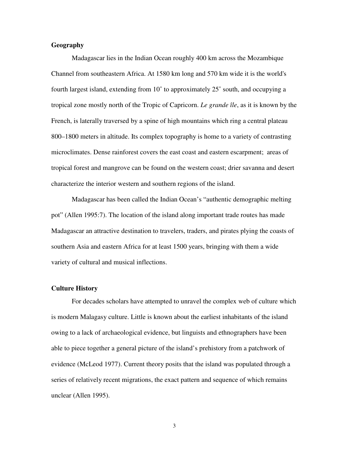## **Geography**

Madagascar lies in the Indian Ocean roughly 400 km across the Mozambique Channel from southeastern Africa. At 1580 km long and 570 km wide it is the world's fourth largest island, extending from 10˚ to approximately 25˚ south, and occupying a tropical zone mostly north of the Tropic of Capricorn. *Le grande île*, as it is known by the French, is laterally traversed by a spine of high mountains which ring a central plateau 800–1800 meters in altitude. Its complex topography is home to a variety of contrasting microclimates. Dense rainforest covers the east coast and eastern escarpment; areas of tropical forest and mangrove can be found on the western coast; drier savanna and desert characterize the interior western and southern regions of the island.

Madagascar has been called the Indian Ocean's "authentic demographic melting pot" (Allen 1995:7). The location of the island along important trade routes has made Madagascar an attractive destination to travelers, traders, and pirates plying the coasts of southern Asia and eastern Africa for at least 1500 years, bringing with them a wide variety of cultural and musical inflections.

### **Culture History**

For decades scholars have attempted to unravel the complex web of culture which is modern Malagasy culture. Little is known about the earliest inhabitants of the island owing to a lack of archaeological evidence, but linguists and ethnographers have been able to piece together a general picture of the island's prehistory from a patchwork of evidence (McLeod 1977). Current theory posits that the island was populated through a series of relatively recent migrations, the exact pattern and sequence of which remains unclear (Allen 1995).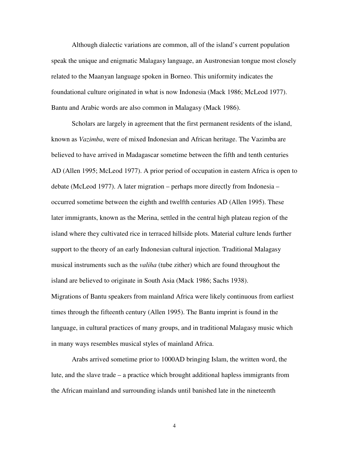Although dialectic variations are common, all of the island's current population speak the unique and enigmatic Malagasy language, an Austronesian tongue most closely related to the Maanyan language spoken in Borneo. This uniformity indicates the foundational culture originated in what is now Indonesia (Mack 1986; McLeod 1977). Bantu and Arabic words are also common in Malagasy (Mack 1986).

Scholars are largely in agreement that the first permanent residents of the island, known as *Vazimba*, were of mixed Indonesian and African heritage. The Vazimba are believed to have arrived in Madagascar sometime between the fifth and tenth centuries AD (Allen 1995; McLeod 1977). A prior period of occupation in eastern Africa is open to debate (McLeod 1977). A later migration – perhaps more directly from Indonesia – occurred sometime between the eighth and twelfth centuries AD (Allen 1995). These later immigrants, known as the Merina, settled in the central high plateau region of the island where they cultivated rice in terraced hillside plots. Material culture lends further support to the theory of an early Indonesian cultural injection. Traditional Malagasy musical instruments such as the *valiha* (tube zither) which are found throughout the island are believed to originate in South Asia (Mack 1986; Sachs 1938). Migrations of Bantu speakers from mainland Africa were likely continuous from earliest times through the fifteenth century (Allen 1995). The Bantu imprint is found in the language, in cultural practices of many groups, and in traditional Malagasy music which in many ways resembles musical styles of mainland Africa.

Arabs arrived sometime prior to 1000AD bringing Islam, the written word, the lute, and the slave trade – a practice which brought additional hapless immigrants from the African mainland and surrounding islands until banished late in the nineteenth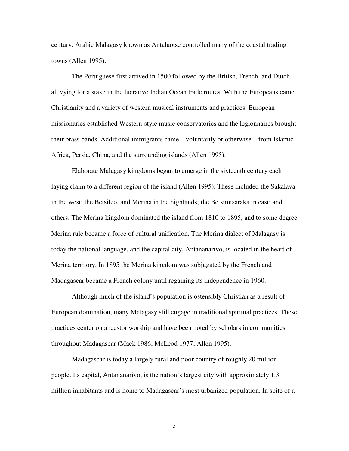century. Arabic Malagasy known as Antalaotse controlled many of the coastal trading towns (Allen 1995).

The Portuguese first arrived in 1500 followed by the British, French, and Dutch, all vying for a stake in the lucrative Indian Ocean trade routes. With the Europeans came Christianity and a variety of western musical instruments and practices. European missionaries established Western-style music conservatories and the legionnaires brought their brass bands. Additional immigrants came – voluntarily or otherwise – from Islamic Africa, Persia, China, and the surrounding islands (Allen 1995).

Elaborate Malagasy kingdoms began to emerge in the sixteenth century each laying claim to a different region of the island (Allen 1995). These included the Sakalava in the west; the Betsileo, and Merina in the highlands; the Betsimisaraka in east; and others. The Merina kingdom dominated the island from 1810 to 1895, and to some degree Merina rule became a force of cultural unification. The Merina dialect of Malagasy is today the national language, and the capital city, Antananarivo, is located in the heart of Merina territory. In 1895 the Merina kingdom was subjugated by the French and Madagascar became a French colony until regaining its independence in 1960.

Although much of the island's population is ostensibly Christian as a result of European domination, many Malagasy still engage in traditional spiritual practices. These practices center on ancestor worship and have been noted by scholars in communities throughout Madagascar (Mack 1986; McLeod 1977; Allen 1995).

Madagascar is today a largely rural and poor country of roughly 20 million people. Its capital, Antananarivo, is the nation's largest city with approximately 1.3 million inhabitants and is home to Madagascar's most urbanized population. In spite of a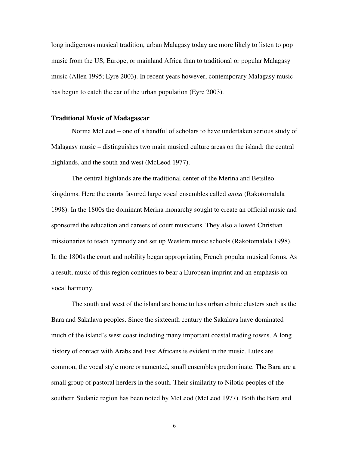long indigenous musical tradition, urban Malagasy today are more likely to listen to pop music from the US, Europe, or mainland Africa than to traditional or popular Malagasy music (Allen 1995; Eyre 2003). In recent years however, contemporary Malagasy music has begun to catch the ear of the urban population (Eyre 2003).

#### **Traditional Music of Madagascar**

Norma McLeod – one of a handful of scholars to have undertaken serious study of Malagasy music – distinguishes two main musical culture areas on the island: the central highlands, and the south and west (McLeod 1977).

The central highlands are the traditional center of the Merina and Betsileo kingdoms. Here the courts favored large vocal ensembles called *antsa* (Rakotomalala 1998). In the 1800s the dominant Merina monarchy sought to create an official music and sponsored the education and careers of court musicians. They also allowed Christian missionaries to teach hymnody and set up Western music schools (Rakotomalala 1998). In the 1800s the court and nobility began appropriating French popular musical forms. As a result, music of this region continues to bear a European imprint and an emphasis on vocal harmony.

The south and west of the island are home to less urban ethnic clusters such as the Bara and Sakalava peoples. Since the sixteenth century the Sakalava have dominated much of the island's west coast including many important coastal trading towns. A long history of contact with Arabs and East Africans is evident in the music. Lutes are common, the vocal style more ornamented, small ensembles predominate. The Bara are a small group of pastoral herders in the south. Their similarity to Nilotic peoples of the southern Sudanic region has been noted by McLeod (McLeod 1977). Both the Bara and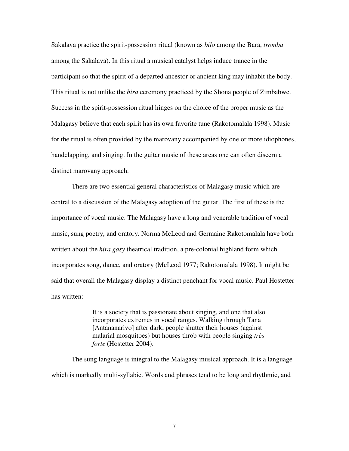Sakalava practice the spirit-possession ritual (known as *bilo* among the Bara, *tromba* among the Sakalava). In this ritual a musical catalyst helps induce trance in the participant so that the spirit of a departed ancestor or ancient king may inhabit the body. This ritual is not unlike the *bira* ceremony practiced by the Shona people of Zimbabwe. Success in the spirit-possession ritual hinges on the choice of the proper music as the Malagasy believe that each spirit has its own favorite tune (Rakotomalala 1998). Music for the ritual is often provided by the marovany accompanied by one or more idiophones, handclapping, and singing. In the guitar music of these areas one can often discern a distinct marovany approach.

There are two essential general characteristics of Malagasy music which are central to a discussion of the Malagasy adoption of the guitar. The first of these is the importance of vocal music. The Malagasy have a long and venerable tradition of vocal music, sung poetry, and oratory. Norma McLeod and Germaine Rakotomalala have both written about the *hira gasy* theatrical tradition, a pre-colonial highland form which incorporates song, dance, and oratory (McLeod 1977; Rakotomalala 1998). It might be said that overall the Malagasy display a distinct penchant for vocal music. Paul Hostetter has written:

> It is a society that is passionate about singing, and one that also incorporates extremes in vocal ranges. Walking through Tana [Antananarivo] after dark, people shutter their houses (against malarial mosquitoes) but houses throb with people singing *très forte* (Hostetter 2004).

The sung language is integral to the Malagasy musical approach. It is a language which is markedly multi-syllabic. Words and phrases tend to be long and rhythmic, and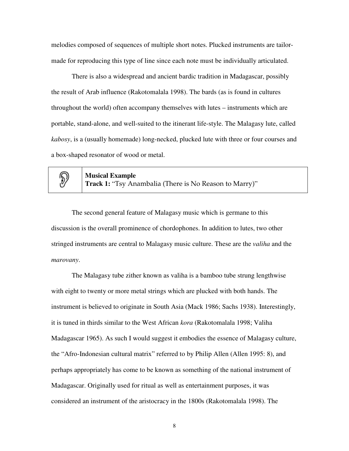melodies composed of sequences of multiple short notes. Plucked instruments are tailormade for reproducing this type of line since each note must be individually articulated.

There is also a widespread and ancient bardic tradition in Madagascar, possibly the result of Arab influence (Rakotomalala 1998). The bards (as is found in cultures throughout the world) often accompany themselves with lutes – instruments which are portable, stand-alone, and well-suited to the itinerant life-style. The Malagasy lute, called *kabosy*, is a (usually homemade) long-necked, plucked lute with three or four courses and a box-shaped resonator of wood or metal.

## $\mathbb{D}$

**Musical Example Track 1:** "Tsy Anambalia (There is No Reason to Marry)"

The second general feature of Malagasy music which is germane to this discussion is the overall prominence of chordophones. In addition to lutes, two other stringed instruments are central to Malagasy music culture. These are the *valiha* and the *marovany*.

The Malagasy tube zither known as valiha is a bamboo tube strung lengthwise with eight to twenty or more metal strings which are plucked with both hands. The instrument is believed to originate in South Asia (Mack 1986; Sachs 1938). Interestingly, it is tuned in thirds similar to the West African *kora* (Rakotomalala 1998; Valiha Madagascar 1965). As such I would suggest it embodies the essence of Malagasy culture, the "Afro-Indonesian cultural matrix" referred to by Philip Allen (Allen 1995: 8), and perhaps appropriately has come to be known as something of the national instrument of Madagascar. Originally used for ritual as well as entertainment purposes, it was considered an instrument of the aristocracy in the 1800s (Rakotomalala 1998). The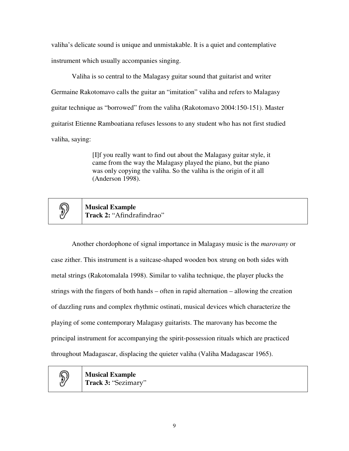valiha's delicate sound is unique and unmistakable. It is a quiet and contemplative instrument which usually accompanies singing.

Valiha is so central to the Malagasy guitar sound that guitarist and writer Germaine Rakotomavo calls the guitar an "imitation" valiha and refers to Malagasy guitar technique as "borrowed" from the valiha (Rakotomavo 2004:150-151). Master guitarist Etienne Ramboatiana refuses lessons to any student who has not first studied valiha, saying:

> [I]f you really want to find out about the Malagasy guitar style, it came from the way the Malagasy played the piano, but the piano was only copying the valiha. So the valiha is the origin of it all (Anderson 1998).



**Musical Example Track 2:** "Afindrafindrao"

Another chordophone of signal importance in Malagasy music is the *marovany* or case zither. This instrument is a suitcase-shaped wooden box strung on both sides with metal strings (Rakotomalala 1998). Similar to valiha technique, the player plucks the strings with the fingers of both hands – often in rapid alternation – allowing the creation of dazzling runs and complex rhythmic ostinati, musical devices which characterize the playing of some contemporary Malagasy guitarists. The marovany has become the principal instrument for accompanying the spirit-possession rituals which are practiced throughout Madagascar, displacing the quieter valiha (Valiha Madagascar 1965).

 $\mathbb{D}$ 

**Musical Example Track 3:** "Sezimary"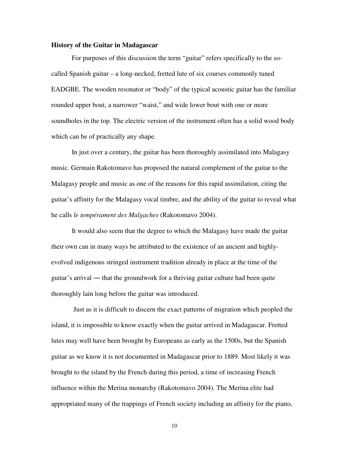### **History of the Guitar in Madagascar**

For purposes of this discussion the term "guitar" refers specifically to the socalled Spanish guitar – a long-necked, fretted lute of six courses commonly tuned EADGBE. The wooden resonator or "body" of the typical acoustic guitar has the familiar rounded upper bout, a narrower "waist," and wide lower bout with one or more soundholes in the top. The electric version of the instrument often has a solid wood body which can be of practically any shape.

In just over a century, the guitar has been thoroughly assimilated into Malagasy music. Germain Rakotomavo has proposed the natural complement of the guitar to the Malagasy people and music as one of the reasons for this rapid assimilation, citing the guitar's affinity for the Malagasy vocal timbre, and the ability of the guitar to reveal what he calls *le tempérament des Malgaches* (Rakotomavo 2004).

It would also seem that the degree to which the Malagasy have made the guitar their own can in many ways be attributed to the existence of an ancient and highlyevolved indigenous stringed instrument tradition already in place at the time of the guitar's arrival — that the groundwork for a thriving guitar culture had been quite thoroughly lain long before the guitar was introduced.

Just as it is difficult to discern the exact patterns of migration which peopled the island, it is impossible to know exactly when the guitar arrived in Madagascar. Fretted lutes may well have been brought by Europeans as early as the 1500s, but the Spanish guitar as we know it is not documented in Madagascar prior to 1889. Most likely it was brought to the island by the French during this period, a time of increasing French influence within the Merina monarchy (Rakotomavo 2004). The Merina elite had appropriated many of the trappings of French society including an affinity for the piano,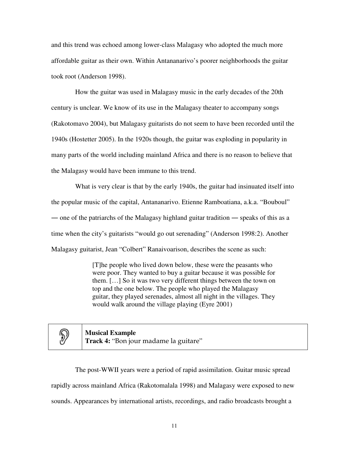and this trend was echoed among lower-class Malagasy who adopted the much more affordable guitar as their own. Within Antananarivo's poorer neighborhoods the guitar took root (Anderson 1998).

How the guitar was used in Malagasy music in the early decades of the 20th century is unclear. We know of its use in the Malagasy theater to accompany songs (Rakotomavo 2004), but Malagasy guitarists do not seem to have been recorded until the 1940s (Hostetter 2005). In the 1920s though, the guitar was exploding in popularity in many parts of the world including mainland Africa and there is no reason to believe that the Malagasy would have been immune to this trend.

What is very clear is that by the early 1940s, the guitar had insinuated itself into the popular music of the capital, Antananarivo. Etienne Ramboatiana, a.k.a. "Bouboul" one of the patriarchs of the Malagasy highland guitar tradition — speaks of this as a time when the city's guitarists "would go out serenading" (Anderson 1998:2). Another Malagasy guitarist, Jean "Colbert" Ranaivoarison, describes the scene as such:

> [T]he people who lived down below, these were the peasants who were poor. They wanted to buy a guitar because it was possible for them. […] So it was two very different things between the town on top and the one below. The people who played the Malagasy guitar, they played serenades, almost all night in the villages. They would walk around the village playing (Eyre 2001)

# $\mathbb{D}$

**Musical Example Track 4:** "Bon jour madame la guitare"

The post-WWII years were a period of rapid assimilation. Guitar music spread rapidly across mainland Africa (Rakotomalala 1998) and Malagasy were exposed to new sounds. Appearances by international artists, recordings, and radio broadcasts brought a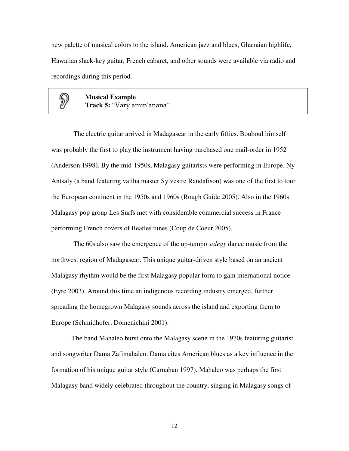new palette of musical colors to the island. American jazz and blues, Ghanaian highlife, Hawaiian slack-key guitar, French cabaret, and other sounds were available via radio and recordings during this period.



**Musical Example Track 5:** "Vary amin'anana"

The electric guitar arrived in Madagascar in the early fifties. Bouboul himself was probably the first to play the instrument having purchased one mail-order in 1952 (Anderson 1998). By the mid-1950s, Malagasy guitarists were performing in Europe. Ny Antsaly (a band featuring valiha master Sylvestre Randafison) was one of the first to tour the European continent in the 1950s and 1960s (Rough Guide 2005). Also in the 1960s Malagasy pop group Les Surfs met with considerable commercial success in France performing French covers of Beatles tunes (Coup de Coeur 2005).

The 60s also saw the emergence of the up-tempo *salegy* dance music from the northwest region of Madagascar. This unique guitar-driven style based on an ancient Malagasy rhythm would be the first Malagasy popular form to gain international notice (Eyre 2003). Around this time an indigenous recording industry emerged, further spreading the homegrown Malagasy sounds across the island and exporting them to Europe (Schmidhofer, Domenichini 2001).

The band Mahaleo burst onto the Malagasy scene in the 1970s featuring guitarist and songwriter Dama Zafimahaleo. Dama cites American blues as a key influence in the formation of his unique guitar style (Carnahan 1997). Mahaleo was perhaps the first Malagasy band widely celebrated throughout the country, singing in Malagasy songs of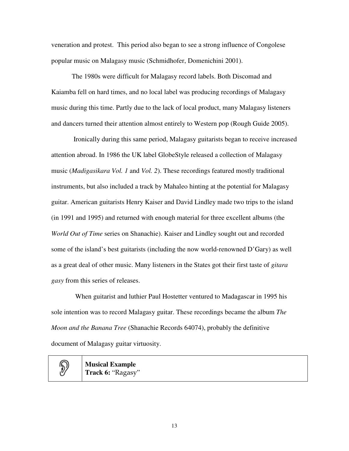veneration and protest. This period also began to see a strong influence of Congolese popular music on Malagasy music (Schmidhofer, Domenichini 2001).

The 1980s were difficult for Malagasy record labels. Both Discomad and Kaiamba fell on hard times, and no local label was producing recordings of Malagasy music during this time. Partly due to the lack of local product, many Malagasy listeners and dancers turned their attention almost entirely to Western pop (Rough Guide 2005).

Ironically during this same period, Malagasy guitarists began to receive increased attention abroad. In 1986 the UK label GlobeStyle released a collection of Malagasy music (*Madigasikara Vol. 1* and *Vol. 2*). These recordings featured mostly traditional instruments, but also included a track by Mahaleo hinting at the potential for Malagasy guitar. American guitarists Henry Kaiser and David Lindley made two trips to the island (in 1991 and 1995) and returned with enough material for three excellent albums (the *World Out of Time* series on Shanachie). Kaiser and Lindley sought out and recorded some of the island's best guitarists (including the now world-renowned D'Gary) as well as a great deal of other music. Many listeners in the States got their first taste of *gitara gasy* from this series of releases.

When guitarist and luthier Paul Hostetter ventured to Madagascar in 1995 his sole intention was to record Malagasy guitar. These recordings became the album *The Moon and the Banana Tree* (Shanachie Records 64074), probably the definitive document of Malagasy guitar virtuosity.

D,

**Musical Example Track 6:** "Ragasy"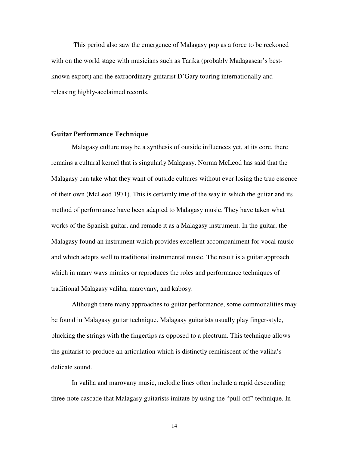This period also saw the emergence of Malagasy pop as a force to be reckoned with on the world stage with musicians such as Tarika (probably Madagascar's bestknown export) and the extraordinary guitarist D'Gary touring internationally and releasing highly-acclaimed records.

### **Guitar Performance Technique**

Malagasy culture may be a synthesis of outside influences yet, at its core, there remains a cultural kernel that is singularly Malagasy. Norma McLeod has said that the Malagasy can take what they want of outside cultures without ever losing the true essence of their own (McLeod 1971). This is certainly true of the way in which the guitar and its method of performance have been adapted to Malagasy music. They have taken what works of the Spanish guitar, and remade it as a Malagasy instrument. In the guitar, the Malagasy found an instrument which provides excellent accompaniment for vocal music and which adapts well to traditional instrumental music. The result is a guitar approach which in many ways mimics or reproduces the roles and performance techniques of traditional Malagasy valiha, marovany, and kabosy.

Although there many approaches to guitar performance, some commonalities may be found in Malagasy guitar technique. Malagasy guitarists usually play finger-style, plucking the strings with the fingertips as opposed to a plectrum. This technique allows the guitarist to produce an articulation which is distinctly reminiscent of the valiha's delicate sound.

In valiha and marovany music, melodic lines often include a rapid descending three-note cascade that Malagasy guitarists imitate by using the "pull-off" technique. In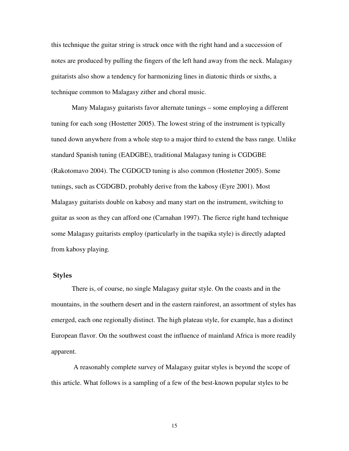this technique the guitar string is struck once with the right hand and a succession of notes are produced by pulling the fingers of the left hand away from the neck. Malagasy guitarists also show a tendency for harmonizing lines in diatonic thirds or sixths, a technique common to Malagasy zither and choral music.

Many Malagasy guitarists favor alternate tunings – some employing a different tuning for each song (Hostetter 2005). The lowest string of the instrument is typically tuned down anywhere from a whole step to a major third to extend the bass range. Unlike standard Spanish tuning (EADGBE), traditional Malagasy tuning is CGDGBE (Rakotomavo 2004). The CGDGCD tuning is also common (Hostetter 2005). Some tunings, such as CGDGBD, probably derive from the kabosy (Eyre 2001). Most Malagasy guitarists double on kabosy and many start on the instrument, switching to guitar as soon as they can afford one (Carnahan 1997). The fierce right hand technique some Malagasy guitarists employ (particularly in the tsapika style) is directly adapted from kabosy playing.

## **Styles**

There is, of course, no single Malagasy guitar style. On the coasts and in the mountains, in the southern desert and in the eastern rainforest, an assortment of styles has emerged, each one regionally distinct. The high plateau style, for example, has a distinct European flavor. On the southwest coast the influence of mainland Africa is more readily apparent.

A reasonably complete survey of Malagasy guitar styles is beyond the scope of this article. What follows is a sampling of a few of the best-known popular styles to be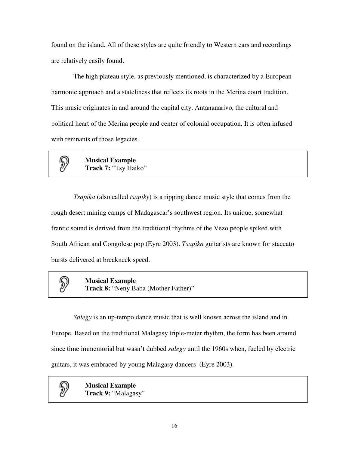found on the island. All of these styles are quite friendly to Western ears and recordings are relatively easily found.

The high plateau style, as previously mentioned, is characterized by a European harmonic approach and a stateliness that reflects its roots in the Merina court tradition. This music originates in and around the capital city, Antananarivo, the cultural and political heart of the Merina people and center of colonial occupation. It is often infused with remnants of those legacies.

> **Musical Example Track 7:** "Tsy Haiko"

*Tsapika* (also called *tsapiky*) is a ripping dance music style that comes from the rough desert mining camps of Madagascar's southwest region. Its unique, somewhat frantic sound is derived from the traditional rhythms of the Vezo people spiked with South African and Congolese pop (Eyre 2003). *Tsapika* guitarists are known for staccato bursts delivered at breakneck speed.



 $\left\langle \!\! \!\! \right. \!\! \left. \!\! \right\rangle$ 

**Musical Example**

**Track 8:** "Neny Baba (Mother Father)"

*Salegy* is an up-tempo dance music that is well known across the island and in Europe. Based on the traditional Malagasy triple-meter rhythm, the form has been around since time immemorial but wasn't dubbed *salegy* until the 1960s when, fueled by electric guitars, it was embraced by young Malagasy dancers (Eyre 2003).

D,

**Musical Example Track 9:** "Malagasy"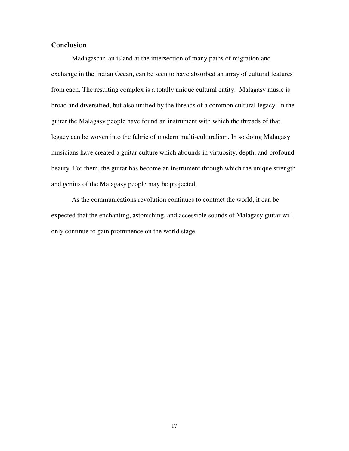## **Conclusion**

Madagascar, an island at the intersection of many paths of migration and exchange in the Indian Ocean, can be seen to have absorbed an array of cultural features from each. The resulting complex is a totally unique cultural entity. Malagasy music is broad and diversified, but also unified by the threads of a common cultural legacy. In the guitar the Malagasy people have found an instrument with which the threads of that legacy can be woven into the fabric of modern multi-culturalism. In so doing Malagasy musicians have created a guitar culture which abounds in virtuosity, depth, and profound beauty. For them, the guitar has become an instrument through which the unique strength and genius of the Malagasy people may be projected.

As the communications revolution continues to contract the world, it can be expected that the enchanting, astonishing, and accessible sounds of Malagasy guitar will only continue to gain prominence on the world stage.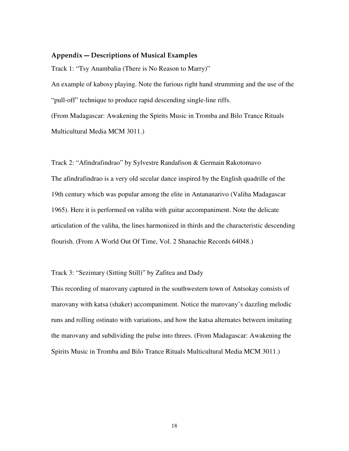#### **Appendix Descriptions of Musical Examples**

Track 1: "Tsy Anambalia (There is No Reason to Marry)" An example of kabosy playing. Note the furious right hand strumming and the use of the "pull-off" technique to produce rapid descending single-line riffs.

(From Madagascar: Awakening the Spirits Music in Tromba and Bilo Trance Rituals Multicultural Media MCM 3011.)

Track 2: "Afindrafindrao" by Sylvestre Randafison & Germain Rakotomavo The afindrafindrao is a very old secular dance inspired by the English quadrille of the 19th century which was popular among the elite in Antananarivo (Valiha Madagascar 1965). Here it is performed on valiha with guitar accompaniment. Note the delicate articulation of the valiha, the lines harmonized in thirds and the characteristic descending flourish. (From A World Out Of Time, Vol. 2 Shanachie Records 64048.)

Track 3: "Sezimary (Sitting Still)" by Zafitea and Dady

This recording of marovany captured in the southwestern town of Antsokay consists of marovany with katsa (shaker) accompaniment. Notice the marovany's dazzling melodic runs and rolling ostinato with variations, and how the katsa alternates between imitating the marovany and subdividing the pulse into threes. (From Madagascar: Awakening the Spirits Music in Tromba and Bilo Trance Rituals Multicultural Media MCM 3011.)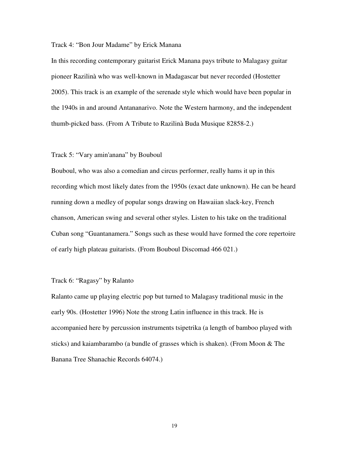#### Track 4: "Bon Jour Madame" by Erick Manana

In this recording contemporary guitarist Erick Manana pays tribute to Malagasy guitar pioneer Razilinà who was well-known in Madagascar but never recorded (Hostetter 2005). This track is an example of the serenade style which would have been popular in the 1940s in and around Antananarivo. Note the Western harmony, and the independent thumb-picked bass. (From A Tribute to Razilinà Buda Musique 82858-2.)

### Track 5: "Vary amin'anana" by Bouboul

Bouboul, who was also a comedian and circus performer, really hams it up in this recording which most likely dates from the 1950s (exact date unknown). He can be heard running down a medley of popular songs drawing on Hawaiian slack-key, French chanson, American swing and several other styles. Listen to his take on the traditional Cuban song "Guantanamera." Songs such as these would have formed the core repertoire of early high plateau guitarists. (From Bouboul Discomad 466 021.)

### Track 6: "Ragasy" by Ralanto

Ralanto came up playing electric pop but turned to Malagasy traditional music in the early 90s. (Hostetter 1996) Note the strong Latin influence in this track. He is accompanied here by percussion instruments tsipetrika (a length of bamboo played with sticks) and kaiambarambo (a bundle of grasses which is shaken). (From Moon & The Banana Tree Shanachie Records 64074.)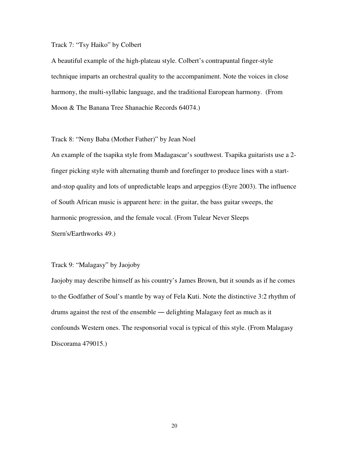## Track 7: "Tsy Haiko" by Colbert

A beautiful example of the high-plateau style. Colbert's contrapuntal finger-style technique imparts an orchestral quality to the accompaniment. Note the voices in close harmony, the multi-syllabic language, and the traditional European harmony. (From Moon & The Banana Tree Shanachie Records 64074.)

## Track 8: "Neny Baba (Mother Father)" by Jean Noel

An example of the tsapika style from Madagascar's southwest. Tsapika guitarists use a 2 finger picking style with alternating thumb and forefinger to produce lines with a startand-stop quality and lots of unpredictable leaps and arpeggios (Eyre 2003). The influence of South African music is apparent here: in the guitar, the bass guitar sweeps, the harmonic progression, and the female vocal. (From Tulear Never Sleeps Stern's/Earthworks 49.)

## Track 9: "Malagasy" by Jaojoby

Jaojoby may describe himself as his country's James Brown, but it sounds as if he comes to the Godfather of Soul's mantle by way of Fela Kuti. Note the distinctive 3:2 rhythm of drums against the rest of the ensemble — delighting Malagasy feet as much as it confounds Western ones. The responsorial vocal is typical of this style. (From Malagasy Discorama 479015.)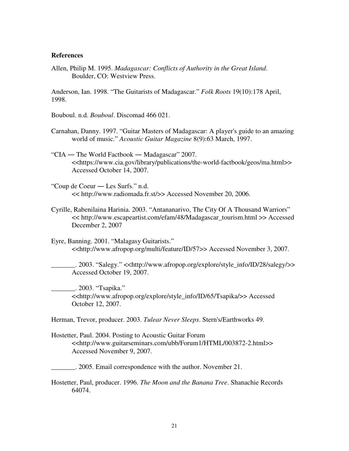#### **References**

Allen, Philip M. 1995. *Madagascar: Conflicts of Authority in the Great Island*. Boulder, CO: Westview Press.

Anderson, Ian. 1998. "The Guitarists of Madagascar." *Folk Roots* 19(10):178 April, 1998.

Bouboul. n.d. *Bouboul*. Discomad 466 021.

- Carnahan, Danny. 1997. "Guitar Masters of Madagascar: A player's guide to an amazing world of music." *Acoustic Guitar Magazine* 8(9):63 March, 1997.
- "CIA The World Factbook Madagascar" 2007. <<https://www.cia.gov/library/publications/the-world-factbook/geos/ma.html>> Accessed October 14, 2007.
- "Coup de Coeur Les Surfs." n.d. << http://www.radiomada.fr.st/>> Accessed November 20, 2006.
- Cyrille, Rabenilaina Harinia. 2003. "Antananarivo, The City Of A Thousand Warriors" << http://www.escapeartist.com/efam/48/Madagascar\_tourism.html >> Accessed December 2, 2007
- Eyre, Banning. 2001. "Malagasy Guitarists." <<http://www.afropop.org/multi/feature/ID/57>> Accessed November 3, 2007.

\_\_\_\_\_\_\_. 2003. "Salegy." <<http://www.afropop.org/explore/style\_info/ID/28/salegy/>> Accessed October 19, 2007.

\_\_\_\_\_\_\_. 2003. "Tsapika." <<http://www.afropop.org/explore/style\_info/ID/65/Tsapika/>> Accessed October 12, 2007.

Herman, Trevor, producer. 2003. *Tulear Never Sleeps*. Stern's/Earthworks 49.

Hostetter, Paul. 2004. Posting to Acoustic Guitar Forum <<http://www.guitarseminars.com/ubb/Forum1/HTML/003872-2.html>> Accessed November 9, 2007.

\_\_\_\_\_\_\_. 2005. Email correspondence with the author. November 21.

Hostetter, Paul, producer. 1996. *The Moon and the Banana Tree*. Shanachie Records 64074.